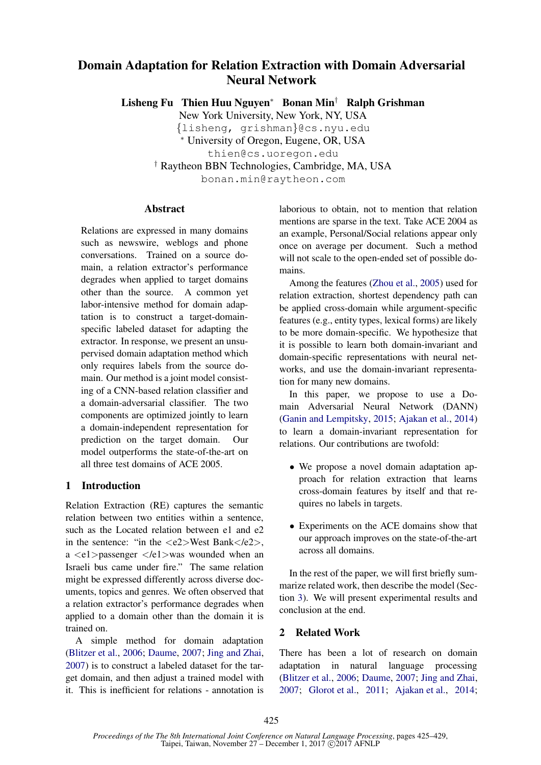# Domain Adaptation for Relation Extraction with Domain Adversarial Neural Network

Lisheng Fu Thien Huu Nguyen<sup>∗</sup> Bonan Min† Ralph Grishman

New York University, New York, NY, USA {lisheng, grishman}@cs.nyu.edu <sup>∗</sup> University of Oregon, Eugene, OR, USA thien@cs.uoregon.edu † Raytheon BBN Technologies, Cambridge, MA, USA bonan.min@raytheon.com

## Abstract

Relations are expressed in many domains such as newswire, weblogs and phone conversations. Trained on a source domain, a relation extractor's performance degrades when applied to target domains other than the source. A common yet labor-intensive method for domain adaptation is to construct a target-domainspecific labeled dataset for adapting the extractor. In response, we present an unsupervised domain adaptation method which only requires labels from the source domain. Our method is a joint model consisting of a CNN-based relation classifier and a domain-adversarial classifier. The two components are optimized jointly to learn a domain-independent representation for prediction on the target domain. Our model outperforms the state-of-the-art on all three test domains of ACE 2005.

## 1 Introduction

Relation Extraction (RE) captures the semantic relation between two entities within a sentence, such as the Located relation between e1 and e2 in the sentence: "in the  $\langle e2 \rangle$ West Bank $\langle e2 \rangle$ , a  $\langle e_1 \rangle$  assenger  $\langle e_1 \rangle$  was wounded when an Israeli bus came under fire." The same relation might be expressed differently across diverse documents, topics and genres. We often observed that a relation extractor's performance degrades when applied to a domain other than the domain it is trained on.

A simple method for domain adaptation (Blitzer et al., 2006; Daume, 2007; Jing and Zhai, 2007) is to construct a labeled dataset for the target domain, and then adjust a trained model with it. This is inefficient for relations - annotation is laborious to obtain, not to mention that relation mentions are sparse in the text. Take ACE 2004 as an example, Personal/Social relations appear only once on average per document. Such a method will not scale to the open-ended set of possible domains.

Among the features (Zhou et al., 2005) used for relation extraction, shortest dependency path can be applied cross-domain while argument-specific features (e.g., entity types, lexical forms) are likely to be more domain-specific. We hypothesize that it is possible to learn both domain-invariant and domain-specific representations with neural networks, and use the domain-invariant representation for many new domains.

In this paper, we propose to use a Domain Adversarial Neural Network (DANN) (Ganin and Lempitsky, 2015; Ajakan et al., 2014) to learn a domain-invariant representation for relations. Our contributions are twofold:

- We propose a novel domain adaptation approach for relation extraction that learns cross-domain features by itself and that requires no labels in targets.
- Experiments on the ACE domains show that our approach improves on the state-of-the-art across all domains.

In the rest of the paper, we will first briefly summarize related work, then describe the model (Section 3). We will present experimental results and conclusion at the end.

## 2 Related Work

There has been a lot of research on domain adaptation in natural language processing (Blitzer et al., 2006; Daume, 2007; Jing and Zhai, 2007; Glorot et al., 2011; Ajakan et al., 2014;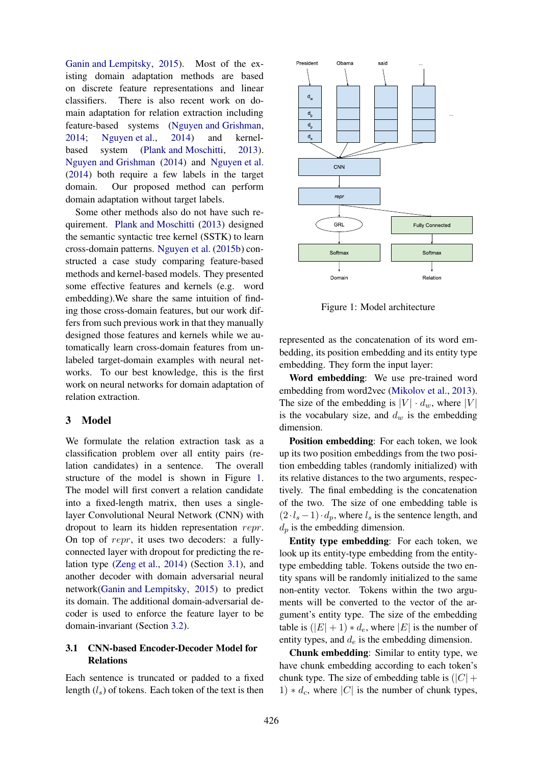Ganin and Lempitsky, 2015). Most of the existing domain adaptation methods are based on discrete feature representations and linear classifiers. There is also recent work on domain adaptation for relation extraction including feature-based systems (Nguyen and Grishman, 2014; Nguyen et al., 2014) and kernelbased system (Plank and Moschitti, 2013). Nguyen and Grishman (2014) and Nguyen et al. (2014) both require a few labels in the target domain. Our proposed method can perform domain adaptation without target labels.

Some other methods also do not have such requirement. Plank and Moschitti (2013) designed the semantic syntactic tree kernel (SSTK) to learn cross-domain patterns. Nguyen et al. (2015b) constructed a case study comparing feature-based methods and kernel-based models. They presented some effective features and kernels (e.g. word embedding).We share the same intuition of finding those cross-domain features, but our work differs from such previous work in that they manually designed those features and kernels while we automatically learn cross-domain features from unlabeled target-domain examples with neural networks. To our best knowledge, this is the first work on neural networks for domain adaptation of relation extraction.

## 3 Model

We formulate the relation extraction task as a classification problem over all entity pairs (relation candidates) in a sentence. The overall structure of the model is shown in Figure 1. The model will first convert a relation candidate into a fixed-length matrix, then uses a singlelayer Convolutional Neural Network (CNN) with dropout to learn its hidden representation repr. On top of repr, it uses two decoders: a fullyconnected layer with dropout for predicting the relation type (Zeng et al., 2014) (Section 3.1), and another decoder with domain adversarial neural network(Ganin and Lempitsky, 2015) to predict its domain. The additional domain-adversarial decoder is used to enforce the feature layer to be domain-invariant (Section 3.2).

## 3.1 CNN-based Encoder-Decoder Model for Relations

Each sentence is truncated or padded to a fixed length  $(l_s)$  of tokens. Each token of the text is then



Figure 1: Model architecture

represented as the concatenation of its word embedding, its position embedding and its entity type embedding. They form the input layer:

Word embedding: We use pre-trained word embedding from word2vec (Mikolov et al., 2013). The size of the embedding is  $|V| \cdot d_w$ , where  $|V|$ is the vocabulary size, and  $d_w$  is the embedding dimension.

Position embedding: For each token, we look up its two position embeddings from the two position embedding tables (randomly initialized) with its relative distances to the two arguments, respectively. The final embedding is the concatenation of the two. The size of one embedding table is  $(2·l<sub>s</sub> - 1)·d<sub>p</sub>$ , where  $l<sub>s</sub>$  is the sentence length, and  $d_p$  is the embedding dimension.

Entity type embedding: For each token, we look up its entity-type embedding from the entitytype embedding table. Tokens outside the two entity spans will be randomly initialized to the same non-entity vector. Tokens within the two arguments will be converted to the vector of the argument's entity type. The size of the embedding table is  $(|E|+1) * d_e$ , where  $|E|$  is the number of entity types, and  $d_e$  is the embedding dimension.

Chunk embedding: Similar to entity type, we have chunk embedding according to each token's chunk type. The size of embedding table is  $(|C| +$ 1)  $*d<sub>c</sub>$ , where |C| is the number of chunk types,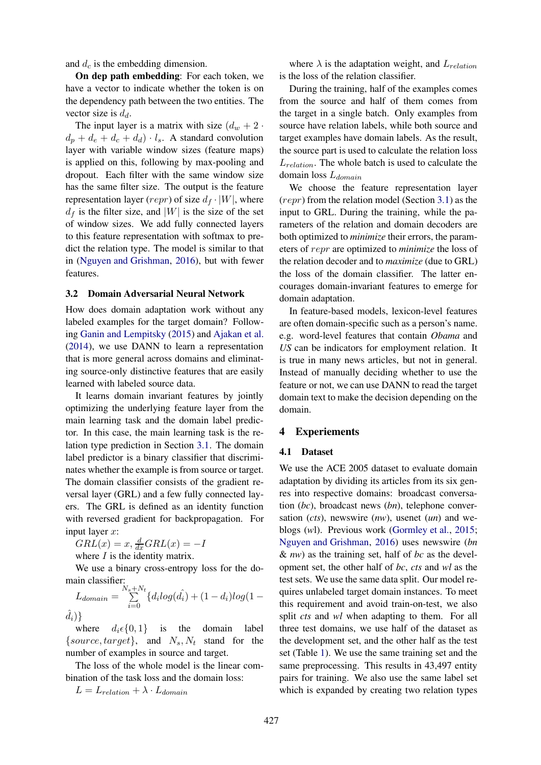and  $d_c$  is the embedding dimension.

On dep path embedding: For each token, we have a vector to indicate whether the token is on the dependency path between the two entities. The vector size is  $d_d$ .

The input layer is a matrix with size  $(d_w + 2 \cdot$  $d_p + d_e + d_c + d_d) \cdot l_s$ . A standard convolution layer with variable window sizes (feature maps) is applied on this, following by max-pooling and dropout. Each filter with the same window size has the same filter size. The output is the feature representation layer (repr) of size  $d_f \cdot |W|$ , where  $d_f$  is the filter size, and |W| is the size of the set of window sizes. We add fully connected layers to this feature representation with softmax to predict the relation type. The model is similar to that in (Nguyen and Grishman, 2016), but with fewer features.

#### 3.2 Domain Adversarial Neural Network

How does domain adaptation work without any labeled examples for the target domain? Following Ganin and Lempitsky (2015) and Ajakan et al. (2014), we use DANN to learn a representation that is more general across domains and eliminating source-only distinctive features that are easily learned with labeled source data.

It learns domain invariant features by jointly optimizing the underlying feature layer from the main learning task and the domain label predictor. In this case, the main learning task is the relation type prediction in Section 3.1. The domain label predictor is a binary classifier that discriminates whether the example is from source or target. The domain classifier consists of the gradient reversal layer (GRL) and a few fully connected layers. The GRL is defined as an identity function with reversed gradient for backpropagation. For input layer x:

 $GRL(x) = x, \frac{d}{dx}GRL(x) = -I$ 

where  $I$  is the identity matrix.

We use a binary cross-entropy loss for the domain classifier:

$$
L_{domain} = \sum_{i=0}^{N_s + N_t} \{d_i log(\hat{d_i}) + (1 - d_i) log(1 - \hat{d_i})\}
$$

where  $d_i \in \{0, 1\}$  is the domain label {source, target}, and  $N_s$ ,  $N_t$  stand for the number of examples in source and target.

The loss of the whole model is the linear combination of the task loss and the domain loss:

 $L = L_{relation} + \lambda \cdot L_{domain}$ 

where  $\lambda$  is the adaptation weight, and  $L_{relation}$ is the loss of the relation classifier.

During the training, half of the examples comes from the source and half of them comes from the target in a single batch. Only examples from source have relation labels, while both source and target examples have domain labels. As the result, the source part is used to calculate the relation loss  $L_{relation}$ . The whole batch is used to calculate the domain loss  $L_{domain}$ 

We choose the feature representation layer (repr) from the relation model (Section 3.1) as the input to GRL. During the training, while the parameters of the relation and domain decoders are both optimized to *minimize* their errors, the parameters of repr are optimized to *minimize* the loss of the relation decoder and to *maximize* (due to GRL) the loss of the domain classifier. The latter encourages domain-invariant features to emerge for domain adaptation.

In feature-based models, lexicon-level features are often domain-specific such as a person's name. e.g. word-level features that contain *Obama* and *US* can be indicators for employment relation. It is true in many news articles, but not in general. Instead of manually deciding whether to use the feature or not, we can use DANN to read the target domain text to make the decision depending on the domain.

#### 4 Experiements

#### 4.1 Dataset

We use the ACE 2005 dataset to evaluate domain adaptation by dividing its articles from its six genres into respective domains: broadcast conversation (*bc*), broadcast news (*bn*), telephone conversation (*cts*), newswire (*nw*), usenet (*un*) and weblogs (*w*l). Previous work (Gormley et al., 2015; Nguyen and Grishman, 2016) uses newswire (*bn* & *nw*) as the training set, half of *bc* as the development set, the other half of *bc*, *cts* and *wl* as the test sets. We use the same data split. Our model requires unlabeled target domain instances. To meet this requirement and avoid train-on-test, we also split *cts* and *wl* when adapting to them. For all three test domains, we use half of the dataset as the development set, and the other half as the test set (Table 1). We use the same training set and the same preprocessing. This results in 43,497 entity pairs for training. We also use the same label set which is expanded by creating two relation types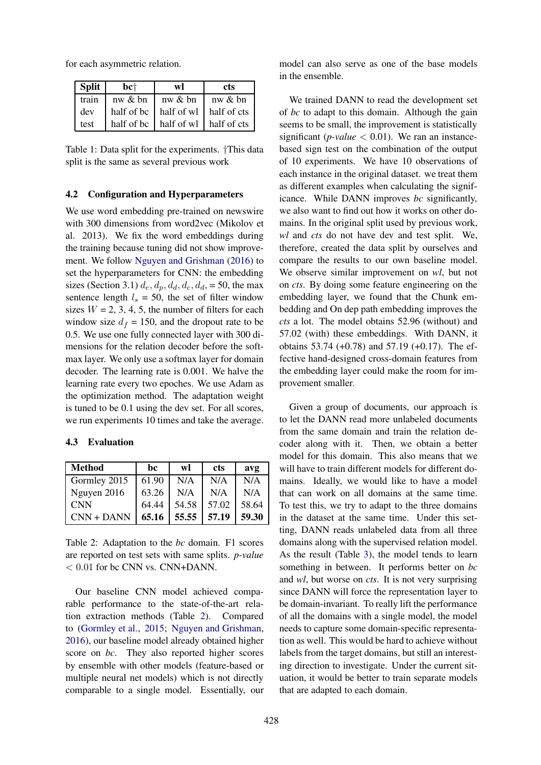for each asymmetric relation.

| <b>Split</b> | $bc+$   | wl             | cts                                                       |
|--------------|---------|----------------|-----------------------------------------------------------|
| train        | nw & bn | $\ln w \& b$ n | $\ln w \& b$ n                                            |
| dev          |         |                | half of bc $\vert$ half of wl $\vert$ half of cts $\vert$ |
| test         |         |                | half of bc   half of wl   half of cts                     |

Table 1: Data split for the experiments. †This data split is the same as several previous work

#### 4.2 Configuration and Hyperparameters

We use word embedding pre-trained on newswire with 300 dimensions from word2vec (Mikolov et al. 2013). We fix the word embeddings during the training because tuning did not show improvement. We follow Nguyen and Grishman (2016) to set the hyperparameters for CNN: the embedding sizes (Section 3.1)  $d_e$ ,  $d_p$ ,  $d_d$ ,  $d_c$ ,  $d_d$ , = 50, the max sentence length  $l_s = 50$ , the set of filter window sizes  $W = 2, 3, 4, 5$ , the number of filters for each window size  $d_f = 150$ , and the dropout rate to be 0.5. We use one fully connected layer with 300 dimensions for the relation decoder before the softmax layer. We only use a softmax layer for domain decoder. The learning rate is 0.001. We halve the learning rate every two epoches. We use Adam as the optimization method. The adaptation weight is tuned to be 0.1 using the dev set. For all scores, we run experiments 10 times and take the average.

#### 4.3 Evaluation

| <b>Method</b> | bc    | wl          | <b>cts</b> | avg   |
|---------------|-------|-------------|------------|-------|
| Gormley 2015  | 61.90 | N/A         | N/A        | N/A   |
| Nguyen 2016   | 63.26 | N/A         | N/A        | N/A   |
| <b>CNN</b>    | 64.44 | 54.58       | 57.02      | 58.64 |
| $CNN + DANN$  | 65.16 | 55.55 57.19 |            | 59.30 |

Table 2: Adaptation to the *bc* domain. F1 scores are reported on test sets with same splits. *p-value*  $< 0.01$  for bc CNN vs. CNN+DANN.

Our baseline CNN model achieved comparable performance to the state-of-the-art relation extraction methods (Table 2). Compared to (Gormley et al., 2015; Nguyen and Grishman, 2016), our baseline model already obtained higher score on *bc*. They also reported higher scores by ensemble with other models (feature-based or multiple neural net models) which is not directly comparable to a single model. Essentially, our model can also serve as one of the base models in the ensemble.

We trained DANN to read the development set of *bc* to adapt to this domain. Although the gain seems to be small, the improvement is statistically significant ( $p$ -value  $<$  0.01). We ran an instancebased sign test on the combination of the output of 10 experiments. We have 10 observations of each instance in the original dataset. we treat them as different examples when calculating the significance. While DANN improves *bc* significantly, we also want to find out how it works on other domains. In the original split used by previous work, *wl* and *cts* do not have dev and test split. We, therefore, created the data split by ourselves and compare the results to our own baseline model. We observe similar improvement on *wl*, but not on *cts*. By doing some feature engineering on the embedding layer, we found that the Chunk embedding and On dep path embedding improves the *cts* a lot. The model obtains 52.96 (without) and 57.02 (with) these embeddings. With DANN, it obtains 53.74 (+0.78) and 57.19 (+0.17). The effective hand-designed cross-domain features from the embedding layer could make the room for improvement smaller.

Given a group of documents, our approach is to let the DANN read more unlabeled documents from the same domain and train the relation decoder along with it. Then, we obtain a better model for this domain. This also means that we will have to train different models for different domains. Ideally, we would like to have a model that can work on all domains at the same time. To test this, we try to adapt to the three domains in the dataset at the same time. Under this setting, DANN reads unlabeled data from all three domains along with the supervised relation model. As the result (Table 3), the model tends to learn something in between. It performs better on *bc* and *wl*, but worse on *cts*. It is not very surprising since DANN will force the representation layer to be domain-invariant. To really lift the performance of all the domains with a single model, the model needs to capture some domain-specific representation as well. This would be hard to achieve without labels from the target domains, but still an interesting direction to investigate. Under the current situation, it would be better to train separate models that are adapted to each domain.